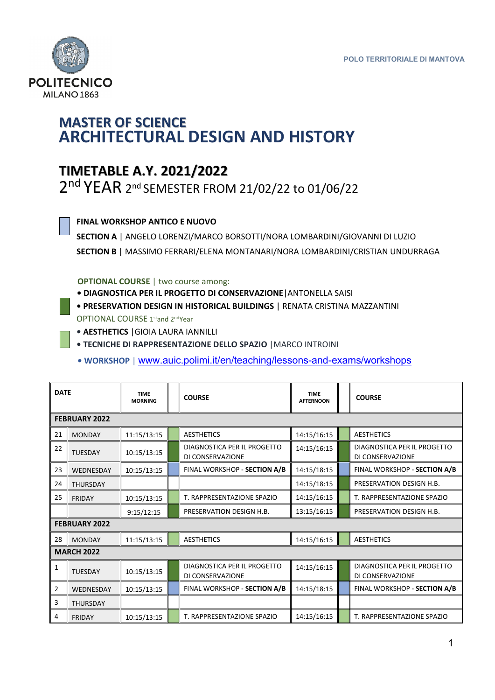

## **MASTER OF SCIENCE ARCHITECTURAL DESIGN AND HISTORY**

## **TIMETABLE A.Y. 2021/2022**

2<sup>nd</sup> YEAR 2<sup>nd</sup> SEMESTER FROM 21/02/22 to 01/06/22

## **FINAL WORKSHOP ANTICO E NUOVO**

**SECTION A** | ANGELO LORENZI/MARCO BORSOTTI/NORA LOMBARDINI/GIOVANNI DI LUZIO **SECTION B** | MASSIMO FERRARI/ELENA MONTANARI/NORA LOMBARDINI/CRISTIAN UNDURRAGA

 **OPTIONAL COURSE** | two course among:

- **• DIAGNOSTICA PER IL PROGETTO DI CONSERVAZIONE**|ANTONELLA SAISI
- **• PRESERVATION DESIGN IN HISTORICAL BUILDINGS** | RENATA CRISTINA MAZZANTINI OPTIONAL COURSE 1stand 2ndYear
- **• AESTHETICS** |GIOIA LAURA IANNILLI
- **• TECNICHE DI RAPPRESENTAZIONE DELLO SPAZIO** |MARCO INTROINI 
	- **• WORKSHOP** | www.auic.polimi.it/en/teaching/lessons-and-exams/workshops

| <b>DATE</b>          |                      | <b>TIME</b><br><b>MORNING</b> |  | <b>COURSE</b>                                   | <b>TIME</b><br><b>AFTERNOON</b> |  | <b>COURSE</b>                                   |
|----------------------|----------------------|-------------------------------|--|-------------------------------------------------|---------------------------------|--|-------------------------------------------------|
|                      | <b>FEBRUARY 2022</b> |                               |  |                                                 |                                 |  |                                                 |
| 21                   | <b>MONDAY</b>        | 11:15/13:15                   |  | <b>AESTHETICS</b>                               | 14:15/16:15                     |  | <b>AESTHETICS</b>                               |
| 22                   | <b>TUESDAY</b>       | 10:15/13:15                   |  | DIAGNOSTICA PER IL PROGETTO<br>DI CONSERVAZIONE | 14:15/16:15                     |  | DIAGNOSTICA PER IL PROGETTO<br>DI CONSERVAZIONE |
| 23                   | WEDNESDAY            | 10:15/13:15                   |  | FINAL WORKSHOP - SECTION A/B                    | 14:15/18:15                     |  | FINAL WORKSHOP - SECTION A/B                    |
| 24                   | <b>THURSDAY</b>      |                               |  |                                                 | 14:15/18:15                     |  | PRESERVATION DESIGN H.B.                        |
| 25                   | <b>FRIDAY</b>        | 10:15/13:15                   |  | T. RAPPRESENTAZIONE SPAZIO                      | 14:15/16:15                     |  | T. RAPPRESENTAZIONE SPAZIO                      |
|                      |                      | 9:15/12:15                    |  | PRESERVATION DESIGN H.B.                        | 13:15/16:15                     |  | PRESERVATION DESIGN H.B.                        |
| <b>FEBRUARY 2022</b> |                      |                               |  |                                                 |                                 |  |                                                 |
| 28                   | <b>MONDAY</b>        | 11:15/13:15                   |  | <b>AESTHETICS</b>                               | 14:15/16:15                     |  | <b>AESTHETICS</b>                               |
| <b>MARCH 2022</b>    |                      |                               |  |                                                 |                                 |  |                                                 |
| 1                    | <b>TUESDAY</b>       | 10:15/13:15                   |  | DIAGNOSTICA PER IL PROGETTO<br>DI CONSERVAZIONE | 14:15/16:15                     |  | DIAGNOSTICA PER IL PROGETTO<br>DI CONSERVAZIONE |
| 2                    | WEDNESDAY            | 10:15/13:15                   |  | FINAL WORKSHOP - SECTION A/B                    | 14:15/18:15                     |  | FINAL WORKSHOP - SECTION A/B                    |
| 3                    | <b>THURSDAY</b>      |                               |  |                                                 |                                 |  |                                                 |
| 4                    | <b>FRIDAY</b>        | 10:15/13:15                   |  | T. RAPPRESENTAZIONE SPAZIO                      | 14:15/16:15                     |  | T. RAPPRESENTAZIONE SPAZIO                      |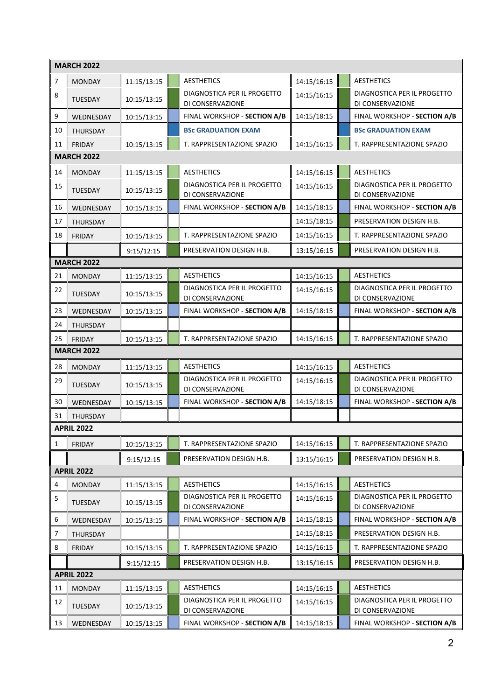|                | <b>MARCH 2022</b> |             |  |                                                 |             |  |                                                 |  |
|----------------|-------------------|-------------|--|-------------------------------------------------|-------------|--|-------------------------------------------------|--|
| $\overline{7}$ | <b>MONDAY</b>     | 11:15/13:15 |  | <b>AESTHETICS</b>                               | 14:15/16:15 |  | <b>AESTHETICS</b>                               |  |
| 8              | <b>TUESDAY</b>    | 10:15/13:15 |  | DIAGNOSTICA PER IL PROGETTO<br>DI CONSERVAZIONE | 14:15/16:15 |  | DIAGNOSTICA PER IL PROGETTO<br>DI CONSERVAZIONE |  |
| 9              | WEDNESDAY         | 10:15/13:15 |  | FINAL WORKSHOP - SECTION A/B                    | 14:15/18:15 |  | FINAL WORKSHOP - SECTION A/B                    |  |
| 10             | THURSDAY          |             |  | <b>BSc GRADUATION EXAM</b>                      |             |  | <b>BSc GRADUATION EXAM</b>                      |  |
| 11             | <b>FRIDAY</b>     | 10:15/13:15 |  | T. RAPPRESENTAZIONE SPAZIO                      | 14:15/16:15 |  | T. RAPPRESENTAZIONE SPAZIO                      |  |
|                | <b>MARCH 2022</b> |             |  |                                                 |             |  |                                                 |  |
| 14             | <b>MONDAY</b>     | 11:15/13:15 |  | <b>AESTHETICS</b>                               | 14:15/16:15 |  | <b>AESTHETICS</b>                               |  |
| 15             | TUESDAY           | 10:15/13:15 |  | DIAGNOSTICA PER IL PROGETTO<br>DI CONSERVAZIONE | 14:15/16:15 |  | DIAGNOSTICA PER IL PROGETTO<br>DI CONSERVAZIONE |  |
| 16             | WEDNESDAY         | 10:15/13:15 |  | FINAL WORKSHOP - SECTION A/B                    | 14:15/18:15 |  | FINAL WORKSHOP - SECTION A/B                    |  |
| 17             | THURSDAY          |             |  |                                                 | 14:15/18:15 |  | PRESERVATION DESIGN H.B.                        |  |
| 18             | <b>FRIDAY</b>     | 10:15/13:15 |  | T. RAPPRESENTAZIONE SPAZIO                      | 14:15/16:15 |  | T. RAPPRESENTAZIONE SPAZIO                      |  |
|                |                   | 9:15/12:15  |  | PRESERVATION DESIGN H.B.                        | 13:15/16:15 |  | PRESERVATION DESIGN H.B.                        |  |
|                | <b>MARCH 2022</b> |             |  |                                                 |             |  |                                                 |  |
| 21             | <b>MONDAY</b>     | 11:15/13:15 |  | <b>AESTHETICS</b>                               | 14:15/16:15 |  | <b>AESTHETICS</b>                               |  |
| 22             | TUESDAY           | 10:15/13:15 |  | DIAGNOSTICA PER IL PROGETTO<br>DI CONSERVAZIONE | 14:15/16:15 |  | DIAGNOSTICA PER IL PROGETTO<br>DI CONSERVAZIONE |  |
| 23             | WEDNESDAY         | 10:15/13:15 |  | FINAL WORKSHOP - SECTION A/B                    | 14:15/18:15 |  | FINAL WORKSHOP - SECTION A/B                    |  |
| 24             | THURSDAY          |             |  |                                                 |             |  |                                                 |  |
| 25             | <b>FRIDAY</b>     | 10:15/13:15 |  | T. RAPPRESENTAZIONE SPAZIO                      | 14:15/16:15 |  | T. RAPPRESENTAZIONE SPAZIO                      |  |
|                | <b>MARCH 2022</b> |             |  |                                                 |             |  |                                                 |  |
| 28             | <b>MONDAY</b>     | 11:15/13:15 |  | <b>AESTHETICS</b>                               | 14:15/16:15 |  | <b>AESTHETICS</b>                               |  |
| 29             | TUESDAY           | 10:15/13:15 |  | DIAGNOSTICA PER IL PROGETTO<br>DI CONSERVAZIONE | 14:15/16:15 |  | DIAGNOSTICA PER IL PROGETTO<br>DI CONSERVAZIONE |  |
| 30             | WEDNESDAY         | 10:15/13:15 |  | FINAL WORKSHOP - SECTION A/B                    | 14:15/18:15 |  | FINAL WORKSHOP - SECTION A/B                    |  |
| 31             | THURSDAY          |             |  |                                                 |             |  |                                                 |  |
|                | <b>APRIL 2022</b> |             |  |                                                 |             |  |                                                 |  |
| 1              | <b>FRIDAY</b>     | 10:15/13:15 |  | T. RAPPRESENTAZIONE SPAZIO                      | 14:15/16:15 |  | T. RAPPRESENTAZIONE SPAZIO                      |  |
|                |                   | 9:15/12:15  |  | PRESERVATION DESIGN H.B.                        | 13:15/16:15 |  | PRESERVATION DESIGN H.B.                        |  |
|                | <b>APRIL 2022</b> |             |  |                                                 |             |  |                                                 |  |
| 4              | <b>MONDAY</b>     | 11:15/13:15 |  | <b>AESTHETICS</b>                               | 14:15/16:15 |  | <b>AESTHETICS</b>                               |  |
| 5              | TUESDAY           | 10:15/13:15 |  | DIAGNOSTICA PER IL PROGETTO<br>DI CONSERVAZIONE | 14:15/16:15 |  | DIAGNOSTICA PER IL PROGETTO<br>DI CONSERVAZIONE |  |
| 6              | WEDNESDAY         | 10:15/13:15 |  | FINAL WORKSHOP - SECTION A/B                    | 14:15/18:15 |  | FINAL WORKSHOP - SECTION A/B                    |  |
| $\overline{7}$ | THURSDAY          |             |  |                                                 | 14:15/18:15 |  | PRESERVATION DESIGN H.B.                        |  |
| 8              | <b>FRIDAY</b>     | 10:15/13:15 |  | T. RAPPRESENTAZIONE SPAZIO                      | 14:15/16:15 |  | T. RAPPRESENTAZIONE SPAZIO                      |  |
|                |                   | 9:15/12:15  |  | PRESERVATION DESIGN H.B.                        | 13:15/16:15 |  | PRESERVATION DESIGN H.B.                        |  |
|                | <b>APRIL 2022</b> |             |  |                                                 |             |  |                                                 |  |
| 11             | <b>MONDAY</b>     | 11:15/13:15 |  | <b>AESTHETICS</b>                               | 14:15/16:15 |  | <b>AESTHETICS</b>                               |  |
| 12             | TUESDAY           | 10:15/13:15 |  | DIAGNOSTICA PER IL PROGETTO<br>DI CONSERVAZIONE | 14:15/16:15 |  | DIAGNOSTICA PER IL PROGETTO<br>DI CONSERVAZIONE |  |
| 13             | WEDNESDAY         | 10:15/13:15 |  | FINAL WORKSHOP - SECTION A/B                    | 14:15/18:15 |  | FINAL WORKSHOP - SECTION A/B                    |  |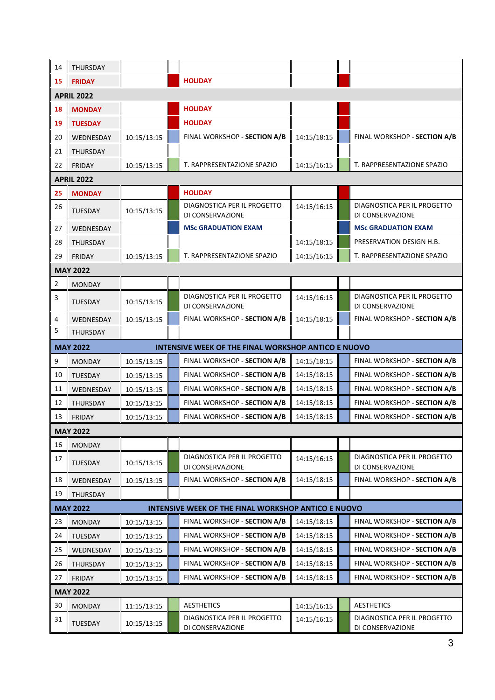| 14                | THURSDAY                                                               |             |  |                                                     |             |  |                                                 |  |
|-------------------|------------------------------------------------------------------------|-------------|--|-----------------------------------------------------|-------------|--|-------------------------------------------------|--|
| 15                | <b>FRIDAY</b>                                                          |             |  | <b>HOLIDAY</b>                                      |             |  |                                                 |  |
| <b>APRIL 2022</b> |                                                                        |             |  |                                                     |             |  |                                                 |  |
| 18                | <b>MONDAY</b>                                                          |             |  | <b>HOLIDAY</b>                                      |             |  |                                                 |  |
| 19                | <b>TUESDAY</b>                                                         |             |  | <b>HOLIDAY</b>                                      |             |  |                                                 |  |
| 20                | WEDNESDAY                                                              | 10:15/13:15 |  | FINAL WORKSHOP - SECTION A/B                        | 14:15/18:15 |  | FINAL WORKSHOP - SECTION A/B                    |  |
| 21                | THURSDAY                                                               |             |  |                                                     |             |  |                                                 |  |
| 22                | <b>FRIDAY</b>                                                          | 10:15/13:15 |  | T. RAPPRESENTAZIONE SPAZIO                          | 14:15/16:15 |  | T. RAPPRESENTAZIONE SPAZIO                      |  |
|                   | <b>APRIL 2022</b>                                                      |             |  |                                                     |             |  |                                                 |  |
| 25                | <b>MONDAY</b>                                                          |             |  | <b>HOLIDAY</b>                                      |             |  |                                                 |  |
| 26                | <b>TUESDAY</b>                                                         | 10:15/13:15 |  | DIAGNOSTICA PER IL PROGETTO<br>DI CONSERVAZIONE     | 14:15/16:15 |  | DIAGNOSTICA PER IL PROGETTO<br>DI CONSERVAZIONE |  |
| 27                | WEDNESDAY                                                              |             |  | <b>MSc GRADUATION EXAM</b>                          |             |  | <b>MSc GRADUATION EXAM</b>                      |  |
| 28                | THURSDAY                                                               |             |  |                                                     | 14:15/18:15 |  | PRESERVATION DESIGN H.B.                        |  |
| 29                | <b>FRIDAY</b>                                                          | 10:15/13:15 |  | T. RAPPRESENTAZIONE SPAZIO                          | 14:15/16:15 |  | T. RAPPRESENTAZIONE SPAZIO                      |  |
|                   | <b>MAY 2022</b>                                                        |             |  |                                                     |             |  |                                                 |  |
| 2                 | <b>MONDAY</b>                                                          |             |  |                                                     |             |  |                                                 |  |
| 3                 | <b>TUESDAY</b>                                                         | 10:15/13:15 |  | DIAGNOSTICA PER IL PROGETTO<br>DI CONSERVAZIONE     | 14:15/16:15 |  | DIAGNOSTICA PER IL PROGETTO<br>DI CONSERVAZIONE |  |
| 4                 | WEDNESDAY                                                              | 10:15/13:15 |  | FINAL WORKSHOP - SECTION A/B                        | 14:15/18:15 |  | FINAL WORKSHOP - SECTION A/B                    |  |
| 5                 | THURSDAY                                                               |             |  |                                                     |             |  |                                                 |  |
|                   | <b>MAY 2022</b><br>INTENSIVE WEEK OF THE FINAL WORKSHOP ANTICO E NUOVO |             |  |                                                     |             |  |                                                 |  |
| 9                 | <b>MONDAY</b>                                                          | 10:15/13:15 |  | FINAL WORKSHOP - SECTION A/B                        | 14:15/18:15 |  | FINAL WORKSHOP - SECTION A/B                    |  |
| 10                | TUESDAY                                                                | 10:15/13:15 |  | FINAL WORKSHOP - SECTION A/B                        | 14:15/18:15 |  | FINAL WORKSHOP - SECTION A/B                    |  |
| 11                | WEDNESDAY                                                              | 10:15/13:15 |  | FINAL WORKSHOP - SECTION A/B                        | 14:15/18:15 |  | FINAL WORKSHOP - SECTION A/B                    |  |
| 12                | THURSDAY                                                               | 10:15/13:15 |  | FINAL WORKSHOP - SECTION A/B                        | 14:15/18:15 |  | FINAL WORKSHOP - SECTION A/B                    |  |
| 13                | <b>FRIDAY</b>                                                          | 10:15/13:15 |  | FINAL WORKSHOP - SECTION A/B                        | 14:15/18:15 |  | FINAL WORKSHOP - SECTION A/B                    |  |
| <b>MAY 2022</b>   |                                                                        |             |  |                                                     |             |  |                                                 |  |
| 16                | <b>MONDAY</b>                                                          |             |  |                                                     |             |  |                                                 |  |
| 17                | TUESDAY                                                                | 10:15/13:15 |  | DIAGNOSTICA PER IL PROGETTO<br>DI CONSERVAZIONE     | 14:15/16:15 |  | DIAGNOSTICA PER IL PROGETTO<br>DI CONSERVAZIONE |  |
| 18                | WEDNESDAY                                                              | 10:15/13:15 |  | FINAL WORKSHOP - SECTION A/B                        | 14:15/18:15 |  | FINAL WORKSHOP - SECTION A/B                    |  |
| 19                | THURSDAY                                                               |             |  |                                                     |             |  |                                                 |  |
|                   | <b>MAY 2022</b>                                                        |             |  | INTENSIVE WEEK OF THE FINAL WORKSHOP ANTICO E NUOVO |             |  |                                                 |  |
| 23                | <b>MONDAY</b>                                                          | 10:15/13:15 |  | FINAL WORKSHOP - SECTION A/B                        | 14:15/18:15 |  | FINAL WORKSHOP - SECTION A/B                    |  |
| 24                | TUESDAY                                                                | 10:15/13:15 |  | FINAL WORKSHOP - SECTION A/B                        | 14:15/18:15 |  | FINAL WORKSHOP - SECTION A/B                    |  |
| 25                | WEDNESDAY                                                              | 10:15/13:15 |  | FINAL WORKSHOP - SECTION A/B                        | 14:15/18:15 |  | FINAL WORKSHOP - SECTION A/B                    |  |
| 26                | THURSDAY                                                               | 10:15/13:15 |  | FINAL WORKSHOP - SECTION A/B                        | 14:15/18:15 |  | FINAL WORKSHOP - SECTION A/B                    |  |
| 27                | <b>FRIDAY</b>                                                          | 10:15/13:15 |  | FINAL WORKSHOP - SECTION A/B                        | 14:15/18:15 |  | FINAL WORKSHOP - SECTION A/B                    |  |
| <b>MAY 2022</b>   |                                                                        |             |  |                                                     |             |  |                                                 |  |
| 30                | <b>MONDAY</b>                                                          | 11:15/13:15 |  | <b>AESTHETICS</b>                                   | 14:15/16:15 |  | <b>AESTHETICS</b>                               |  |
| 31                | TUESDAY                                                                | 10:15/13:15 |  | DIAGNOSTICA PER IL PROGETTO<br>DI CONSERVAZIONE     | 14:15/16:15 |  | DIAGNOSTICA PER IL PROGETTO<br>DI CONSERVAZIONE |  |
|                   |                                                                        |             |  |                                                     |             |  |                                                 |  |